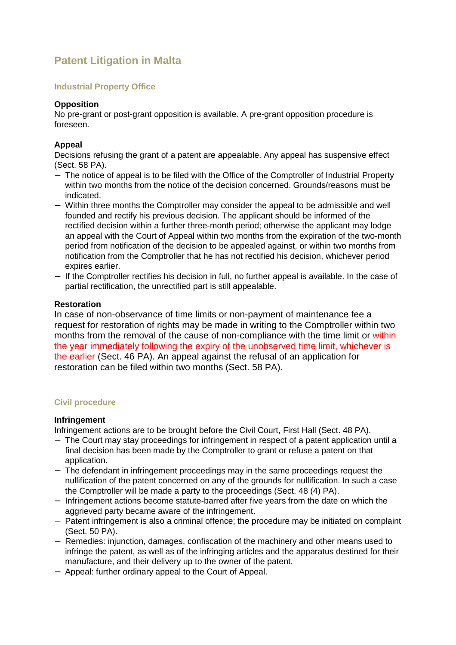# **Patent Litigation in Malta**

## **Industrial Property Office**

#### **Opposition**

No pre-grant or post-grant opposition is available. A pre-grant opposition procedure is foreseen.

## **Appeal**

Decisions refusing the grant of a patent are appealable. Any appeal has suspensive effect (Sect. 58 PA).

- − The notice of appeal is to be filed with the Office of the Comptroller of Industrial Property within two months from the notice of the decision concerned. Grounds/reasons must be indicated.
- − Within three months the Comptroller may consider the appeal to be admissible and well founded and rectify his previous decision. The applicant should be informed of the rectified decision within a further three-month period; otherwise the applicant may lodge an appeal with the Court of Appeal within two months from the expiration of the two-month period from notification of the decision to be appealed against, or within two months from notification from the Comptroller that he has not rectified his decision, whichever period expires earlier.
- − If the Comptroller rectifies his decision in full, no further appeal is available. In the case of partial rectification, the unrectified part is still appealable.

#### **Restoration**

In case of non-observance of time limits or non-payment of maintenance fee a request for restoration of rights may be made in writing to the Comptroller within two months from the removal of the cause of non-compliance with the time limit or within the year immediately following the expiry of the unobserved time limit, whichever is the earlier (Sect. 46 PA). An appeal against the refusal of an application for restoration can be filed within two months (Sect. 58 PA).

#### **Civil procedure**

#### **Infringement**

Infringement actions are to be brought before the Civil Court, First Hall (Sect. 48 PA).

- − The Court may stay proceedings for infringement in respect of a patent application until a final decision has been made by the Comptroller to grant or refuse a patent on that application.
- − The defendant in infringement proceedings may in the same proceedings request the nullification of the patent concerned on any of the grounds for nullification. In such a case the Comptroller will be made a party to the proceedings (Sect. 48 (4) PA).
- − Infringement actions become statute-barred after five years from the date on which the aggrieved party became aware of the infringement.
- − Patent infringement is also a criminal offence; the procedure may be initiated on complaint (Sect. 50 PA).
- − Remedies: injunction, damages, confiscation of the machinery and other means used to infringe the patent, as well as of the infringing articles and the apparatus destined for their manufacture, and their delivery up to the owner of the patent.
- − Appeal: further ordinary appeal to the Court of Appeal.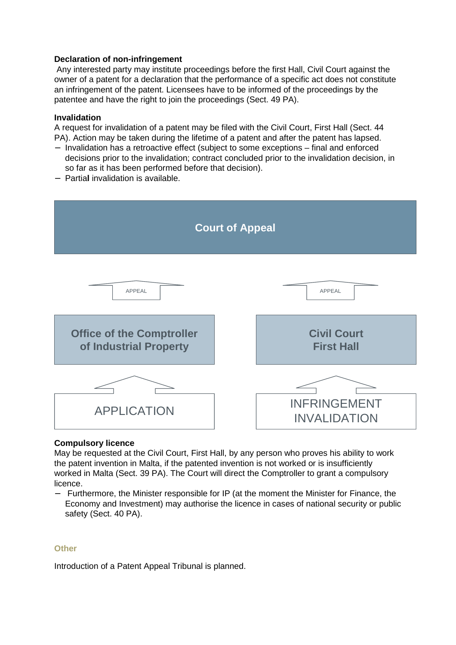# **Declaration of non-infringement**

 Any interested party may institute proceedings before the first Hall, Civil Court against the owner of a patent for a declaration that the performance of a specific act does not constitute an infringement of the patent. Licensees have to be informed of the proceedings by the patentee and have the right to join the proceedings (Sect. 49 PA).

#### **Invalidation**

A request for invalidation of a patent may be filed with the Civil Court, First Hall (Sect. 44 PA). Action may be taken during the lifetime of a patent and after the patent has lapsed.

- − Invalidation has a retroactive effect (subject to some exceptions final and enforced decisions prior to the invalidation; contract concluded prior to the invalidation decision, in so far as it has been performed before that decision).
- − Partia**l** invalidation is available.



#### **Compulsory licence**

May be requested at the Civil Court, First Hall, by any person who proves his ability to work the patent invention in Malta, if the patented invention is not worked or is insufficiently worked in Malta (Sect. 39 PA). The Court will direct the Comptroller to grant a compulsory licence.

− Furthermore, the Minister responsible for IP (at the moment the Minister for Finance, the Economy and Investment) may authorise the licence in cases of national security or public safety (Sect. 40 PA).

#### **Other**

Introduction of a Patent Appeal Tribunal is planned.